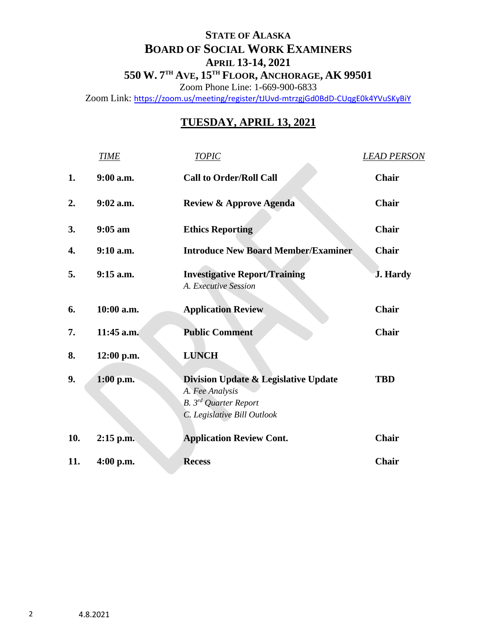## **STATE OF ALASKA BOARD OF SOCIAL WORK EXAMINERS APRIL 13-14, 2021**

**550 W. 7 TH AVE, 15TH FLOOR, ANCHORAGE, AK 99501** Zoom Phone Line: 1-669-900-6833

Zoom Link: <https://zoom.us/meeting/register/tJUvd-mtrzgjGd0BdD-CUqgE0k4YVuSKyBiY>

## **TUESDAY, APRIL 13, 2021**

|     | <b>TIME</b> | <b>TOPIC</b>                                                                                                                           | <b>LEAD PERSON</b> |
|-----|-------------|----------------------------------------------------------------------------------------------------------------------------------------|--------------------|
| 1.  | $9:00$ a.m. | <b>Call to Order/Roll Call</b>                                                                                                         | Chair              |
| 2.  | $9:02$ a.m. | <b>Review &amp; Approve Agenda</b>                                                                                                     | <b>Chair</b>       |
| 3.  | $9:05$ am   | <b>Ethics Reporting</b>                                                                                                                | Chair              |
| 4.  | $9:10$ a.m. | <b>Introduce New Board Member/Examiner</b>                                                                                             | Chair              |
| 5.  | $9:15$ a.m. | <b>Investigative Report/Training</b><br>A. Executive Session                                                                           | <b>J.</b> Hardy    |
| 6.  | 10:00 a.m.  | <b>Application Review</b>                                                                                                              | Chair              |
| 7.  | 11:45 a.m.  | <b>Public Comment</b>                                                                                                                  | <b>Chair</b>       |
| 8.  | 12:00 p.m.  | <b>LUNCH</b>                                                                                                                           |                    |
| 9.  | $1:00$ p.m. | <b>Division Update &amp; Legislative Update</b><br>A. Fee Analysis<br>B. 3 <sup>rd</sup> Quarter Report<br>C. Legislative Bill Outlook | <b>TBD</b>         |
| 10. | $2:15$ p.m. | <b>Application Review Cont.</b>                                                                                                        | <b>Chair</b>       |
| 11. | $4:00$ p.m. | <b>Recess</b>                                                                                                                          | <b>Chair</b>       |